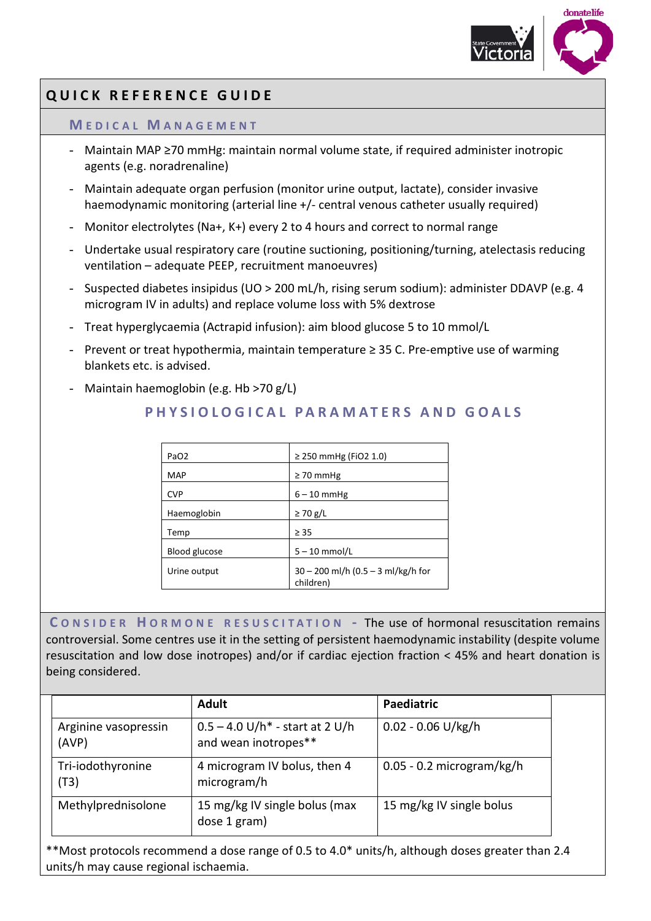

# **QUICK REFERENCE GUIDE**

#### **M EDICAL M ANAGEMENT**

- Maintain MAP ≥70 mmHg: maintain normal volume state, if required administer inotropic agents (e.g. noradrenaline)
- Maintain adequate organ perfusion (monitor urine output, lactate), consider invasive haemodynamic monitoring (arterial line +/- central venous catheter usually required)
- Monitor electrolytes (Na+, K+) every 2 to 4 hours and correct to normal range
- Undertake usual respiratory care (routine suctioning, positioning/turning, atelectasis reducing ventilation – adequate PEEP, recruitment manoeuvres)
- Suspected diabetes insipidus (UO > 200 mL/h, rising serum sodium): administer DDAVP (e.g. 4 microgram IV in adults) and replace volume loss with 5% dextrose
- Treat hyperglycaemia (Actrapid infusion): aim blood glucose 5 to 10 mmol/L
- Prevent or treat hypothermia, maintain temperature ≥ 35 C. Pre-emptive use of warming blankets etc. is advised.
- Maintain haemoglobin (e.g. Hb >70 g/L)

## **PHYSIOLOGICAL PARAMATERS AND GOALS**

| PaO <sub>2</sub> | ≥ 250 mmHg (FiO2 1.0)                             |  |
|------------------|---------------------------------------------------|--|
| MAP              | $\geq 70$ mmHg                                    |  |
| <b>CVP</b>       | $6 - 10$ mmHg                                     |  |
| Haemoglobin      | $\geq$ 70 g/L                                     |  |
| Temp             | $\geq$ 35                                         |  |
| Blood glucose    | $5 - 10$ mmol/L                                   |  |
| Urine output     | $30 - 200$ ml/h (0.5 – 3 ml/kg/h for<br>children) |  |

**C ONSIDER H ORMONE RESUSCITATION -** The use of hormonal resuscitation remains controversial. Some centres use it in the setting of persistent haemodynamic instability (despite volume resuscitation and low dose inotropes) and/or if cardiac ejection fraction < 45% and heart donation is being considered.

|                               | <b>Adult</b>                                                     | Paediatric                  |
|-------------------------------|------------------------------------------------------------------|-----------------------------|
| Arginine vasopressin<br>(AVP) | $0.5 - 4.0 \text{ U/h}$ - start at 2 U/h<br>and wean inotropes** | $0.02 - 0.06$ U/kg/h        |
| Tri-iodothyronine<br>(T3)     | 4 microgram IV bolus, then 4<br>microgram/h                      | $0.05 - 0.2$ microgram/kg/h |
| Methylprednisolone            | 15 mg/kg IV single bolus (max<br>dose 1 gram)                    | 15 mg/kg IV single bolus    |

\*\*Most protocols recommend a dose range of 0.5 to 4.0\* units/h, although doses greater than 2.4 units/h may cause regional ischaemia.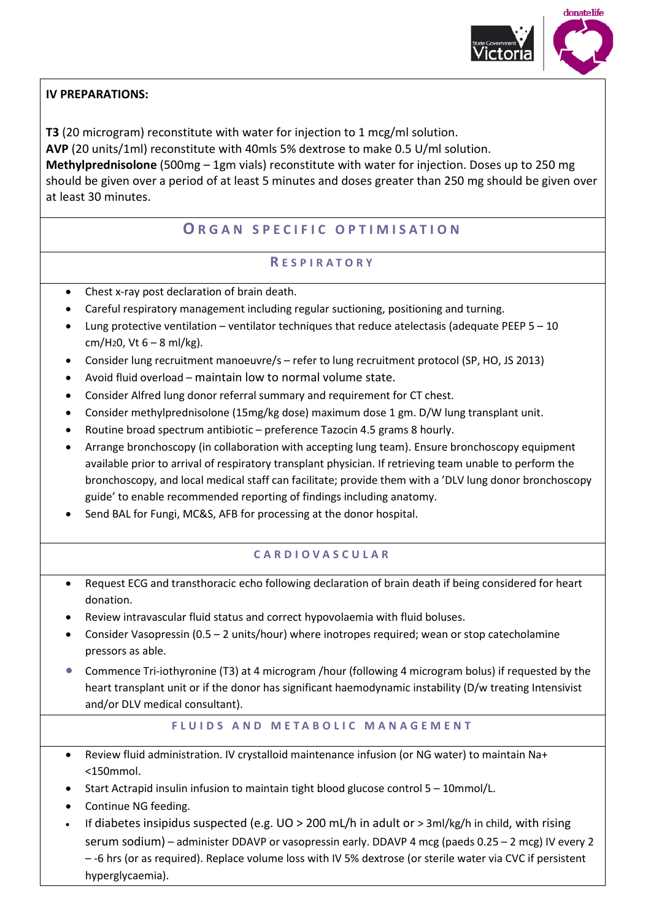

### **IV PREPARATIONS:**

**T3** (20 microgram) reconstitute with water for injection to 1 mcg/ml solution. **AVP** (20 units/1ml) reconstitute with 40mls 5% dextrose to make 0.5 U/ml solution. **Methylprednisolone** (500mg – 1gm vials) reconstitute with water for injection. Doses up to 250 mg should be given over a period of at least 5 minutes and doses greater than 250 mg should be given over at least 30 minutes.

## **O RGAN SPECIFIC OPTIMI SATION**

### **R ESPIRATORY**

- Chest x-ray post declaration of brain death.
- Careful respiratory management including regular suctioning, positioning and turning.
- Lung protective ventilation ventilator techniques that reduce atelectasis (adequate PEEP 5 10  $cm/H<sub>2</sub>0$ , Vt  $6 - 8$  ml/kg).
- Consider lung recruitment manoeuvre/s refer to lung recruitment protocol (SP, HO, JS 2013)
- Avoid fluid overload maintain low to normal volume state.
- Consider Alfred lung donor referral summary and requirement for CT chest.
- Consider methylprednisolone (15mg/kg dose) maximum dose 1 gm. D/W lung transplant unit.
- Routine broad spectrum antibiotic preference Tazocin 4.5 grams 8 hourly.
- Arrange bronchoscopy (in collaboration with accepting lung team). Ensure bronchoscopy equipment available prior to arrival of respiratory transplant physician. If retrieving team unable to perform the bronchoscopy, and local medical staff can facilitate; provide them with a 'DLV lung donor bronchoscopy guide' to enable recommended reporting of findings including anatomy.
- Send BAL for Fungi, MC&S, AFB for processing at the donor hospital.

### **CARDIOVASCULAR**

- Request ECG and transthoracic echo following declaration of brain death if being considered for heart donation.
- Review intravascular fluid status and correct hypovolaemia with fluid boluses.
- Consider Vasopressin (0.5 2 units/hour) where inotropes required; wean or stop catecholamine pressors as able.
- Commence Tri-iothyronine (T3) at 4 microgram /hour (following 4 microgram bolus) if requested by the heart transplant unit or if the donor has significant haemodynamic instability (D/w treating Intensivist and/or DLV medical consultant).

#### **FLUIDS AND METABOLIC MANAGEMENT**

- Review fluid administration. IV crystalloid maintenance infusion (or NG water) to maintain Na+ <150mmol.
- Start Actrapid insulin infusion to maintain tight blood glucose control 5 10mmol/L.
- Continue NG feeding.
- If diabetes insipidus suspected (e.g.  $UO > 200$  mL/h in adult or  $> 3$ ml/kg/h in child, with rising serum sodium) – administer DDAVP or vasopressin early. DDAVP 4 mcg (paeds 0.25 – 2 mcg) IV every 2 – -6 hrs (or as required). Replace volume loss with IV 5% dextrose (or sterile water via CVC if persistent hyperglycaemia).